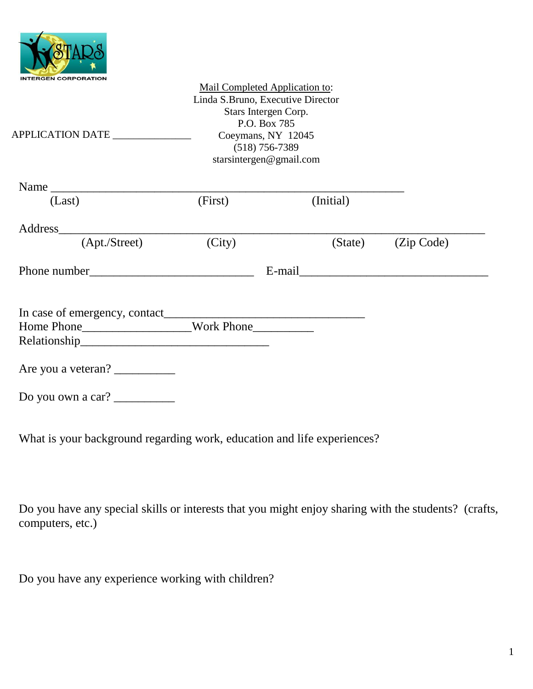

| APPLICATION DATE                                                                                                                                                                                                                                                                                                                                                                                                  | Linda S.Bruno, Executive Director | Mail Completed Application to:<br>Stars Intergen Corp.<br>P.O. Box 785<br>Coeymans, NY 12045<br>$(518)$ 756-7389<br>starsintergen@gmail.com |           |                    |
|-------------------------------------------------------------------------------------------------------------------------------------------------------------------------------------------------------------------------------------------------------------------------------------------------------------------------------------------------------------------------------------------------------------------|-----------------------------------|---------------------------------------------------------------------------------------------------------------------------------------------|-----------|--------------------|
| Name                                                                                                                                                                                                                                                                                                                                                                                                              |                                   |                                                                                                                                             |           |                    |
| (Last)                                                                                                                                                                                                                                                                                                                                                                                                            | (First)                           |                                                                                                                                             | (Initial) |                    |
|                                                                                                                                                                                                                                                                                                                                                                                                                   |                                   |                                                                                                                                             |           |                    |
| (Apt./Street)                                                                                                                                                                                                                                                                                                                                                                                                     | (City)                            |                                                                                                                                             |           | (State) (Zip Code) |
|                                                                                                                                                                                                                                                                                                                                                                                                                   |                                   |                                                                                                                                             |           |                    |
|                                                                                                                                                                                                                                                                                                                                                                                                                   |                                   |                                                                                                                                             |           |                    |
| Home Phone_______________________Work Phone____________                                                                                                                                                                                                                                                                                                                                                           |                                   |                                                                                                                                             |           |                    |
| Are you a veteran?                                                                                                                                                                                                                                                                                                                                                                                                |                                   |                                                                                                                                             |           |                    |
| Do you own a car? $\frac{1}{\sqrt{1-\frac{1}{\sqrt{1-\frac{1}{\sqrt{1-\frac{1}{\sqrt{1-\frac{1}{\sqrt{1-\frac{1}{\sqrt{1-\frac{1}{\sqrt{1-\frac{1}{\sqrt{1-\frac{1}{\sqrt{1-\frac{1}{\sqrt{1-\frac{1}{\sqrt{1-\frac{1}{\sqrt{1-\frac{1}{\sqrt{1-\frac{1}{\sqrt{1-\frac{1}{\sqrt{1-\frac{1}{\sqrt{1-\frac{1}{\sqrt{1-\frac{1}{\sqrt{1-\frac{1}{\sqrt{1-\frac{1}{\sqrt{1-\frac{1}{\sqrt{1-\frac{1}{\sqrt{1-\frac{1$ |                                   |                                                                                                                                             |           |                    |

What is your background regarding work, education and life experiences?

Do you have any special skills or interests that you might enjoy sharing with the students? (crafts, computers, etc.)

Do you have any experience working with children?